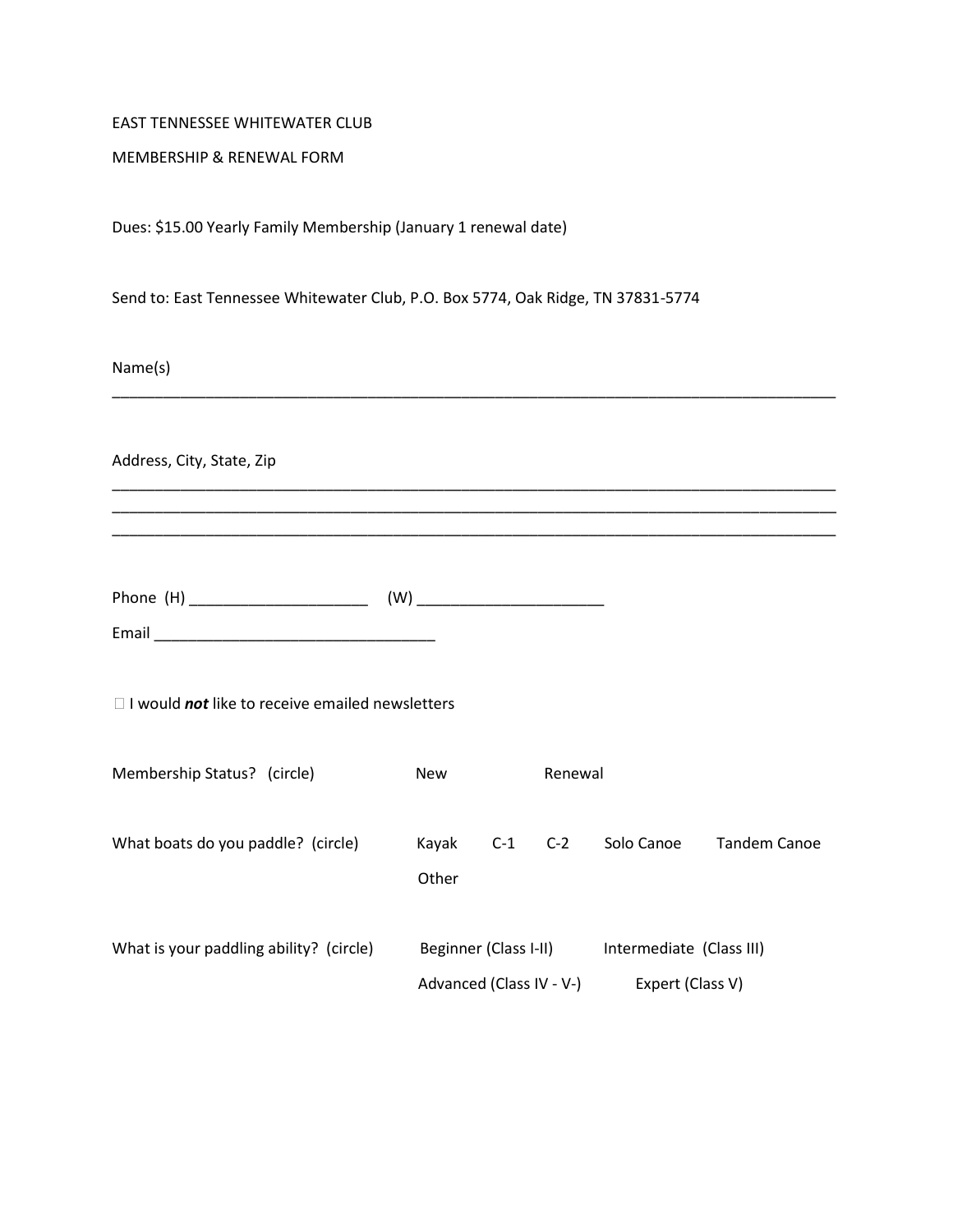## EAST TENNESSEE WHITEWATER CLUB

## MEMBERSHIP & RENEWAL FORM

Dues: \$15.00 Yearly Family Membership (January 1 renewal date)

Send to: East Tennessee Whitewater Club, P.O. Box 5774, Oak Ridge, TN 37831-5774

\_\_\_\_\_\_\_\_\_\_\_\_\_\_\_\_\_\_\_\_\_\_\_\_\_\_\_\_\_\_\_\_\_\_\_\_\_\_\_\_\_\_\_\_\_\_\_\_\_\_\_\_\_\_\_\_\_\_\_\_\_\_\_\_\_\_\_\_\_\_\_\_\_\_\_\_\_\_\_\_\_\_\_\_\_

\_\_\_\_\_\_\_\_\_\_\_\_\_\_\_\_\_\_\_\_\_\_\_\_\_\_\_\_\_\_\_\_\_\_\_\_\_\_\_\_\_\_\_\_\_\_\_\_\_\_\_\_\_\_\_\_\_\_\_\_\_\_\_\_\_\_\_\_\_\_\_\_\_\_\_\_\_\_\_\_\_\_\_\_\_ \_\_\_\_\_\_\_\_\_\_\_\_\_\_\_\_\_\_\_\_\_\_\_\_\_\_\_\_\_\_\_\_\_\_\_\_\_\_\_\_\_\_\_\_\_\_\_\_\_\_\_\_\_\_\_\_\_\_\_\_\_\_\_\_\_\_\_\_\_\_\_\_\_\_\_\_\_\_\_\_\_\_\_\_\_ \_\_\_\_\_\_\_\_\_\_\_\_\_\_\_\_\_\_\_\_\_\_\_\_\_\_\_\_\_\_\_\_\_\_\_\_\_\_\_\_\_\_\_\_\_\_\_\_\_\_\_\_\_\_\_\_\_\_\_\_\_\_\_\_\_\_\_\_\_\_\_\_\_\_\_\_\_\_\_\_\_\_\_\_\_

Name(s)

Address, City, State, Zip

Phone (H) \_\_\_\_\_\_\_\_\_\_\_\_\_\_\_\_\_\_\_\_\_ (W) \_\_\_\_\_\_\_\_\_\_\_\_\_\_\_\_\_\_\_\_\_\_

□ I would *not* like to receive emailed newsletters

Email \_\_\_\_\_\_\_\_\_\_\_\_\_\_\_\_\_\_\_\_\_\_\_\_\_\_\_\_\_\_\_\_\_

| Membership Status? (circle)             | <b>New</b><br>Renewal                             |       |                                              |            |              |
|-----------------------------------------|---------------------------------------------------|-------|----------------------------------------------|------------|--------------|
| What boats do you paddle? (circle)      | Kayak<br>Other                                    | $C-1$ | $C-2$                                        | Solo Canoe | Tandem Canoe |
| What is your paddling ability? (circle) | Beginner (Class I-II)<br>Advanced (Class IV - V-) |       | Intermediate (Class III)<br>Expert (Class V) |            |              |